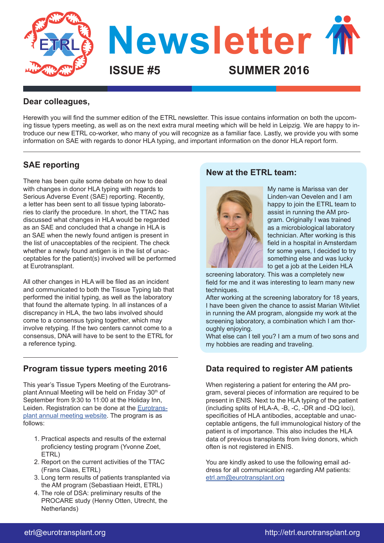

## **Dear colleagues,**

Herewith you will find the summer edition of the ETRL newsletter. This issue contains information on both the upcoming tissue typers meeting, as well as on the next extra mural meeting which will be held in Leipzig. We are happy to introduce our new ETRL co-worker, who many of you will recognize as a familiar face. Lastly, we provide you with some information on SAE with regards to donor HLA typing, and important information on the donor HLA report form.

# **SAE reporting**

There has been quite some debate on how to deal with changes in donor HLA typing with regards to Serious Adverse Event (SAE) reporting. Recently, a letter has been sent to all tissue typing laboratories to clarify the procedure. In short, the TTAC has discussed what changes in HLA would be regarded as an SAE and concluded that a change in HLA is an SAE when the newly found antigen is present in the list of unacceptables of the recipient. The check whether a newly found antigen is in the list of unacceptables for the patient(s) involved will be performed at Eurotransplant.

All other changes in HLA will be filed as an incident and communicated to both the Tissue Typing lab that performed the initial typing, as well as the laboratory that found the alternate typing. In all instances of a discrepancy in HLA, the two labs involved should come to a consensus typing together, which may involve retyping. If the two centers cannot come to a consensus, DNA will have to be sent to the ETRL for a reference typing.

## **Program tissue typers meeting 2016**

This year's Tissue Typers Meeting of the Eurotransplant Annual Meeting will be held on Friday 30<sup>th</sup> of September from 9:30 to 11:00 at the Holiday Inn, Leiden. Registration can be done at the Eurotransplant annual meeting website. The program is as follows:

- 1. Practical aspects and results of the external proficiency testing program (Yvonne Zoet, ETRL)
- 2. Report on the current activities of the TTAC (Frans Claas, ETRL)
- 3. Long term results of patients transplanted via the AM program (Sebastiaan Heidt, ETRL)
- 4. The role of DSA: preliminary results of the PROCARE study (Henny Otten, Utrecht, the Netherlands)

## **New at the ETRL team:**



My name is Marissa van der Linden-van Oevelen and I am happy to join the ETRL team to assist in running the AM program. Originally I was trained as a microbiological laboratory technician. After working is this field in a hospital in Amsterdam for some years, I decided to try something else and was lucky to get a job at the Leiden HLA

screening laboratory. This was a completely new field for me and it was interesting to learn many new techniques.

After working at the screening laboratory for 18 years, I have been given the chance to assist Marian Witvliet in running the AM program, alongside my work at the screening laboratory, a combination which I am thoroughly enjoying.

What else can I tell you? I am a mum of two sons and my hobbies are reading and traveling.

# **Data required to register AM patients**

When registering a patient for entering the AM program, several pieces of information are required to be present in ENIS. Next to the HLA typing of the patient (including splits of HLA-A, -B, -C, -DR and -DQ loci), specificities of HLA antibodies, acceptable and unacceptable antigens, the full immunological history of the patient is of importance. This also includes the HLA data of previous transplants from living donors, which often is not registered in ENIS.

You are kindly asked to use the following email address for all communication regarding AM patients: etrl.am@eurotransplant.org